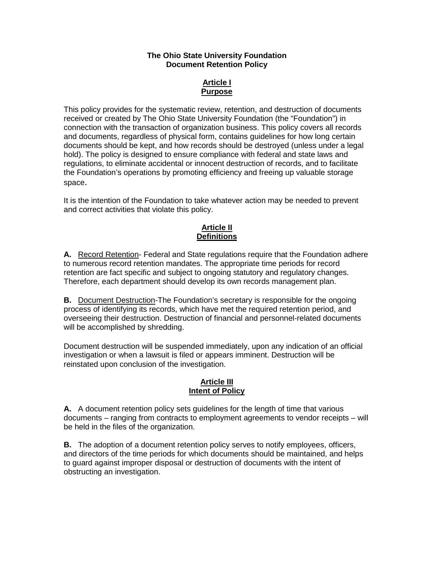#### **The Ohio State University Foundation Document Retention Policy**

## **Article I Purpose**

This policy provides for the systematic review, retention, and destruction of documents received or created by The Ohio State University Foundation (the "Foundation") in connection with the transaction of organization business. This policy covers all records and documents, regardless of physical form, contains guidelines for how long certain documents should be kept, and how records should be destroyed (unless under a legal hold). The policy is designed to ensure compliance with federal and state laws and regulations, to eliminate accidental or innocent destruction of records, and to facilitate the Foundation's operations by promoting efficiency and freeing up valuable storage space.

It is the intention of the Foundation to take whatever action may be needed to prevent and correct activities that violate this policy.

## **Article II Definitions**

**A.** Record Retention- Federal and State regulations require that the Foundation adhere to numerous record retention mandates. The appropriate time periods for record retention are fact specific and subject to ongoing statutory and regulatory changes. Therefore, each department should develop its own records management plan.

**B.** Document Destruction-The Foundation's secretary is responsible for the ongoing process of identifying its records, which have met the required retention period, and overseeing their destruction. Destruction of financial and personnel-related documents will be accomplished by shredding.

Document destruction will be suspended immediately, upon any indication of an official investigation or when a lawsuit is filed or appears imminent. Destruction will be reinstated upon conclusion of the investigation.

## **Article III Intent of Policy**

**A.** A document retention policy sets guidelines for the length of time that various documents – ranging from contracts to employment agreements to vendor receipts – will be held in the files of the organization.

**B.** The adoption of a document retention policy serves to notify employees, officers, and directors of the time periods for which documents should be maintained, and helps to guard against improper disposal or destruction of documents with the intent of obstructing an investigation.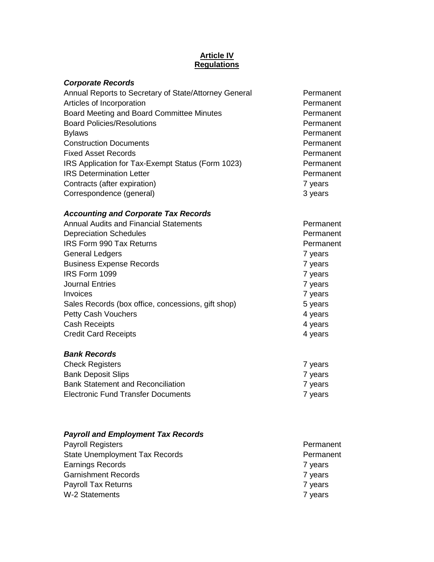## **Article IV Regulations**

**Permanent** Permanent **Permanent** 

7 years 7 years

7 years<br>7 years

| <b>Corporate Records</b>                              |           |
|-------------------------------------------------------|-----------|
| Annual Reports to Secretary of State/Attorney General | Permanent |
| Articles of Incorporation                             | Permanent |
| Board Meeting and Board Committee Minutes             | Permanent |
| <b>Board Policies/Resolutions</b>                     | Permanent |
| <b>Bylaws</b>                                         | Permanent |
| <b>Construction Documents</b>                         | Permanent |
| <b>Fixed Asset Records</b>                            | Permanent |
| IRS Application for Tax-Exempt Status (Form 1023)     | Permanent |
| <b>IRS Determination Letter</b>                       | Permanent |
| Contracts (after expiration)                          | 7 years   |
| Correspondence (general)                              | 3 years   |

# *Accounting and Corporate Tax Records*

| <b>Annual Audits and Financial Statements</b>      | Permar  |
|----------------------------------------------------|---------|
| <b>Depreciation Schedules</b>                      | Permar  |
| <b>IRS Form 990 Tax Returns</b>                    | Permar  |
| <b>General Ledgers</b>                             | 7 years |
| <b>Business Expense Records</b>                    | 7 years |
| IRS Form 1099                                      | 7 years |
| <b>Journal Entries</b>                             | 7 years |
| Invoices                                           | 7 years |
| Sales Records (box office, concessions, gift shop) | 5 years |
| <b>Petty Cash Vouchers</b>                         | 4 years |
| <b>Cash Receipts</b>                               | 4 years |
| <b>Credit Card Receipts</b>                        | 4 years |
|                                                    |         |

## *Bank Records*

| 7 years |
|---------|
| 7 years |
| 7 years |
| 7 years |
|         |

## *Payroll and Employment Tax Records*

| <b>Payroll Registers</b>              | Permanent |
|---------------------------------------|-----------|
| <b>State Unemployment Tax Records</b> | Permanent |
| Earnings Records                      | 7 years   |
| <b>Garnishment Records</b>            | 7 years   |
| <b>Payroll Tax Returns</b>            | 7 years   |
| <b>W-2 Statements</b>                 | 7 years   |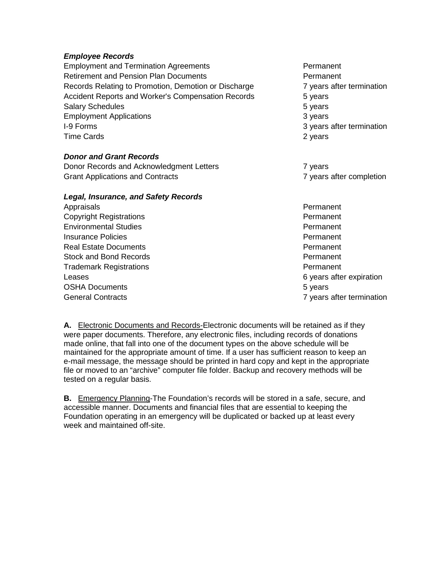## *Employee Records*

Employment and Termination Agreements Permanent Retirement and Pension Plan Documents **Permanent** Permanent Records Relating to Promotion, Demotion or Discharge 7 years after termination Accident Reports and Worker's Compensation Records 5 years Salary Schedules 6 years 5 years 5 years 5 years 5 years 5 years 5 years 5 years 5 years 5 years 5 years 5 years 5 years 5 years 5 years 5 years 5 years 5 years 5 years 5 years 5 years 5 years 5 years 5 years 5 years 5 yea Employment Applications **3 years** 3 years I-9 Forms 3 years after termination Time Cards 2 years 2 years 2 years 2 years 2 years 2 years 2 years 2 years 2 years 2 years 2 years 2 years 2 years 2 years 2 years 2 years 2 years 2 years 2 years 2 years 2 years 2 years 2 years 2 years 2 years 2 years 2 y

## *Donor and Grant Records*

Donor Records and Acknowledgment Letters **7** years Grant Applications and Contracts **7** years after completion

#### *Legal, Insurance, and Safety Records*

Appraisals **Permanent Permanent Copyright Registrations Community** Permanent Environmental Studies Permanent **Insurance Policies Provides Permanent Permanent** Real Estate Documents **Permanent** Permanent Stock and Bond Records Permanent Trademark Registrations **Permanent** Leases **6** years after expiration OSHA Documents **5** years 5 years **5** years **5** years **5** years **5** years **5** General Contracts **7** years after termination

**A.** Electronic Documents and Records-Electronic documents will be retained as if they were paper documents. Therefore, any electronic files, including records of donations made online, that fall into one of the document types on the above schedule will be maintained for the appropriate amount of time. If a user has sufficient reason to keep an e-mail message, the message should be printed in hard copy and kept in the appropriate file or moved to an "archive" computer file folder. Backup and recovery methods will be tested on a regular basis.

**B.** Emergency Planning-The Foundation's records will be stored in a safe, secure, and accessible manner. Documents and financial files that are essential to keeping the Foundation operating in an emergency will be duplicated or backed up at least every week and maintained off-site.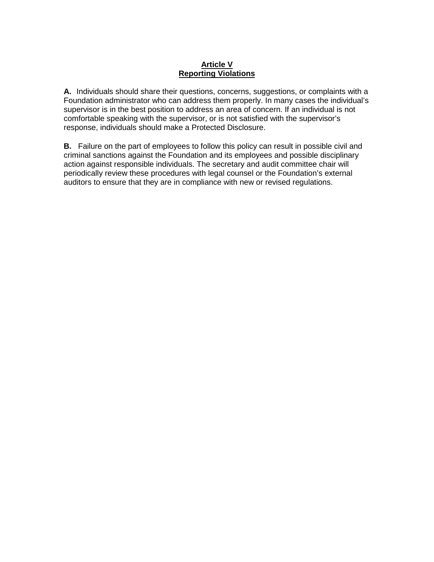## **Article V Reporting Violations**

**A.** Individuals should share their questions, concerns, suggestions, or complaints with a Foundation administrator who can address them properly. In many cases the individual's supervisor is in the best position to address an area of concern. If an individual is not comfortable speaking with the supervisor, or is not satisfied with the supervisor's response, individuals should make a Protected Disclosure.

**B.** Failure on the part of employees to follow this policy can result in possible civil and criminal sanctions against the Foundation and its employees and possible disciplinary action against responsible individuals. The secretary and audit committee chair will periodically review these procedures with legal counsel or the Foundation's external auditors to ensure that they are in compliance with new or revised regulations.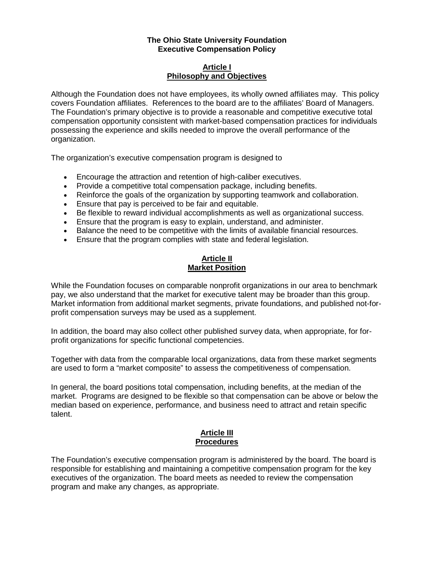#### **The Ohio State University Foundation Executive Compensation Policy**

#### **Article I Philosophy and Objectives**

Although the Foundation does not have employees, its wholly owned affiliates may. This policy covers Foundation affiliates. References to the board are to the affiliates' Board of Managers. The Foundation's primary objective is to provide a reasonable and competitive executive total compensation opportunity consistent with market-based compensation practices for individuals possessing the experience and skills needed to improve the overall performance of the organization.

The organization's executive compensation program is designed to

- Encourage the attraction and retention of high-caliber executives.
- Provide a competitive total compensation package, including benefits.
- Reinforce the goals of the organization by supporting teamwork and collaboration.
- Ensure that pay is perceived to be fair and equitable.
- Be flexible to reward individual accomplishments as well as organizational success.
- Ensure that the program is easy to explain, understand, and administer.
- Balance the need to be competitive with the limits of available financial resources.
- Ensure that the program complies with state and federal legislation.

#### **Article II Market Position**

While the Foundation focuses on comparable nonprofit organizations in our area to benchmark pay, we also understand that the market for executive talent may be broader than this group. Market information from additional market segments, private foundations, and published not-forprofit compensation surveys may be used as a supplement.

In addition, the board may also collect other published survey data, when appropriate, for forprofit organizations for specific functional competencies.

Together with data from the comparable local organizations, data from these market segments are used to form a "market composite" to assess the competitiveness of compensation.

In general, the board positions total compensation, including benefits, at the median of the market. Programs are designed to be flexible so that compensation can be above or below the median based on experience, performance, and business need to attract and retain specific talent.

## **Article III Procedures**

The Foundation's executive compensation program is administered by the board. The board is responsible for establishing and maintaining a competitive compensation program for the key executives of the organization. The board meets as needed to review the compensation program and make any changes, as appropriate.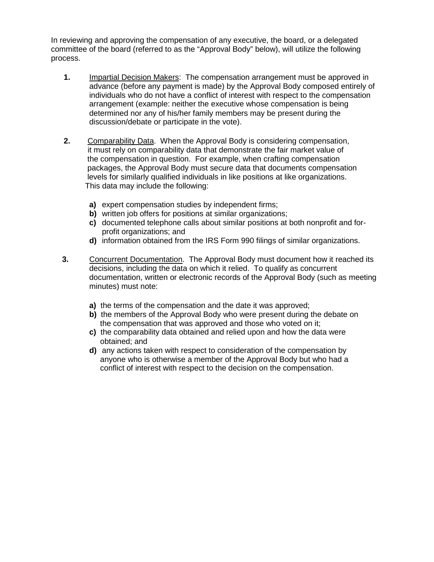In reviewing and approving the compensation of any executive, the board, or a delegated committee of the board (referred to as the "Approval Body" below), will utilize the following process.

- **1.** Impartial Decision Makers: The compensation arrangement must be approved in advance (before any payment is made) by the Approval Body composed entirely of individuals who do not have a conflict of interest with respect to the compensation arrangement (example: neither the executive whose compensation is being determined nor any of his/her family members may be present during the discussion/debate or participate in the vote).
- **2.** Comparability Data. When the Approval Body is considering compensation, it must rely on comparability data that demonstrate the fair market value of the compensation in question. For example, when crafting compensation packages, the Approval Body must secure data that documents compensation levels for similarly qualified individuals in like positions at like organizations. This data may include the following:
	- **a)** expert compensation studies by independent firms;
	- **b)** written job offers for positions at similar organizations;
	- **c)** documented telephone calls about similar positions at both nonprofit and forprofit organizations; and
	- **d)** information obtained from the IRS Form 990 filings of similar organizations.
- **3.** Concurrent Documentation. The Approval Body must document how it reached its decisions, including the data on which it relied. To qualify as concurrent documentation, written or electronic records of the Approval Body (such as meeting minutes) must note:
	- **a)** the terms of the compensation and the date it was approved;
	- **b)** the members of the Approval Body who were present during the debate on the compensation that was approved and those who voted on it;
	- **c)** the comparability data obtained and relied upon and how the data were obtained; and
	- **d)** any actions taken with respect to consideration of the compensation by anyone who is otherwise a member of the Approval Body but who had a conflict of interest with respect to the decision on the compensation.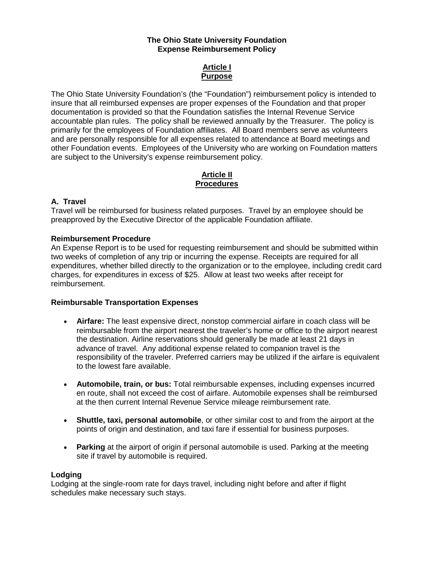#### **The Ohio State University Foundation Expense Reimbursement Policy**

## **Article I Purpose**

The Ohio State University Foundation's (the "Foundation") reimbursement policy is intended to insure that all reimbursed expenses are proper expenses of the Foundation and that proper documentation is provided so that the Foundation satisfies the Internal Revenue Service accountable plan rules. The policy shall be reviewed annually by the Treasurer. The policy is primarily for the employees of Foundation affiliates. All Board members serve as volunteers and are personally responsible for all expenses related to attendance at Board meetings and other Foundation events. Employees of the University who are working on Foundation matters are subject to the University's expense reimbursement policy.

#### **Article II Procedures**

## **A. Travel**

Travel will be reimbursed for business related purposes. Travel by an employee should be preapproved by the Executive Director of the applicable Foundation affiliate.

#### **Reimbursement Procedure**

An Expense Report is to be used for requesting reimbursement and should be submitted within two weeks of completion of any trip or incurring the expense. Receipts are required for all expenditures, whether billed directly to the organization or to the employee, including credit card charges, for expenditures in excess of \$25. Allow at least two weeks after receipt for reimbursement.

#### **Reimbursable Transportation Expenses**

- **Airfare:** The least expensive direct, nonstop commercial airfare in coach class will be reimbursable from the airport nearest the traveler's home or office to the airport nearest the destination. Airline reservations should generally be made at least 21 days in advance of travel. Any additional expense related to companion travel is the responsibility of the traveler. Preferred carriers may be utilized if the airfare is equivalent to the lowest fare available.
- **Automobile, train, or bus:** Total reimbursable expenses, including expenses incurred en route, shall not exceed the cost of airfare. Automobile expenses shall be reimbursed at the then current Internal Revenue Service mileage reimbursement rate.
- **Shuttle, taxi, personal automobile**, or other similar cost to and from the airport at the points of origin and destination, and taxi fare if essential for business purposes.
- **Parking** at the airport of origin if personal automobile is used. Parking at the meeting site if travel by automobile is required.

#### **Lodging**

Lodging at the single-room rate for days travel, including night before and after if flight schedules make necessary such stays.